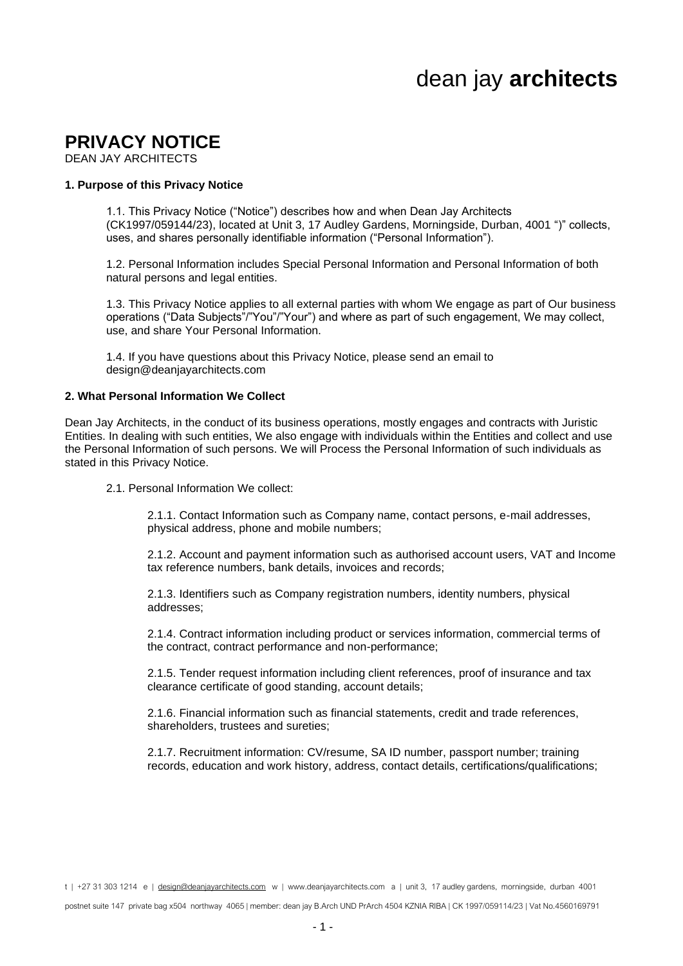# dean jay **architects**

# **PRIVACY NOTICE**

DEAN JAY ARCHITECTS

### **1. Purpose of this Privacy Notice**

1.1. This Privacy Notice ("Notice") describes how and when Dean Jay Architects (CK1997/059144/23), located at Unit 3, 17 Audley Gardens, Morningside, Durban, 4001 ")" collects, uses, and shares personally identifiable information ("Personal Information").

1.2. Personal Information includes Special Personal Information and Personal Information of both natural persons and legal entities.

1.3. This Privacy Notice applies to all external parties with whom We engage as part of Our business operations ("Data Subjects"/"You"/"Your") and where as part of such engagement, We may collect, use, and share Your Personal Information.

1.4. If you have questions about this Privacy Notice, please send an email to design@deanjayarchitects.com

#### **2. What Personal Information We Collect**

Dean Jay Architects, in the conduct of its business operations, mostly engages and contracts with Juristic Entities. In dealing with such entities, We also engage with individuals within the Entities and collect and use the Personal Information of such persons. We will Process the Personal Information of such individuals as stated in this Privacy Notice.

2.1. Personal Information We collect:

2.1.1. Contact Information such as Company name, contact persons, e-mail addresses, physical address, phone and mobile numbers;

2.1.2. Account and payment information such as authorised account users, VAT and Income tax reference numbers, bank details, invoices and records;

2.1.3. Identifiers such as Company registration numbers, identity numbers, physical addresses;

2.1.4. Contract information including product or services information, commercial terms of the contract, contract performance and non-performance;

2.1.5. Tender request information including client references, proof of insurance and tax clearance certificate of good standing, account details;

2.1.6. Financial information such as financial statements, credit and trade references, shareholders, trustees and sureties;

2.1.7. Recruitment information: CV/resume, SA ID number, passport number; training records, education and work history, address, contact details, certifications/qualifications;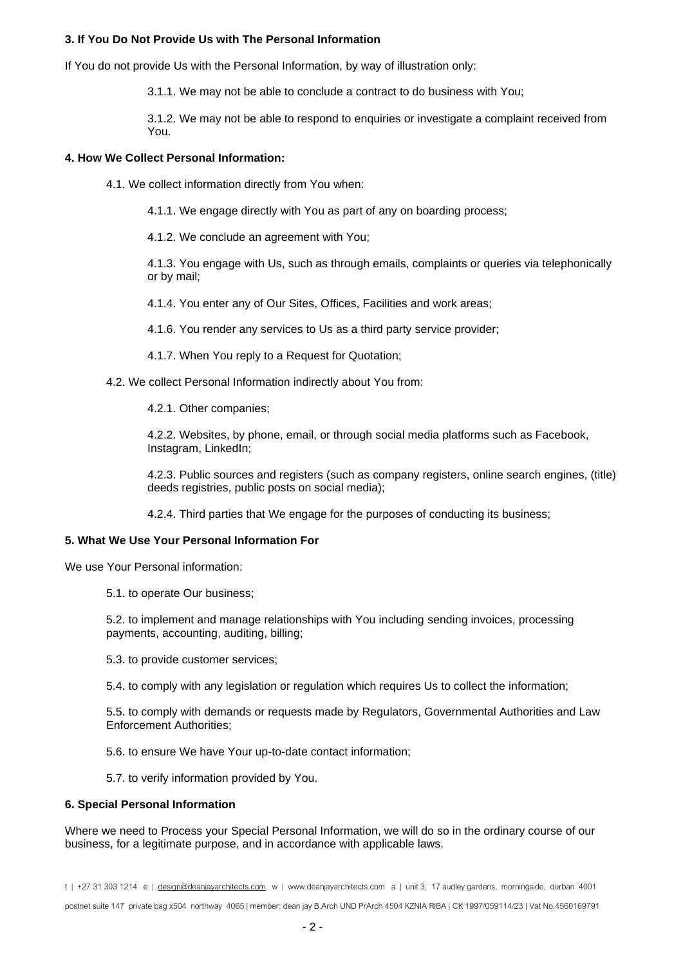# **3. If You Do Not Provide Us with The Personal Information**

If You do not provide Us with the Personal Information, by way of illustration only:

3.1.1. We may not be able to conclude a contract to do business with You;

3.1.2. We may not be able to respond to enquiries or investigate a complaint received from You.

# **4. How We Collect Personal Information:**

4.1. We collect information directly from You when:

4.1.1. We engage directly with You as part of any on boarding process;

4.1.2. We conclude an agreement with You;

4.1.3. You engage with Us, such as through emails, complaints or queries via telephonically or by mail;

4.1.4. You enter any of Our Sites, Offices, Facilities and work areas;

4.1.6. You render any services to Us as a third party service provider;

4.1.7. When You reply to a Request for Quotation;

4.2. We collect Personal Information indirectly about You from:

4.2.1. Other companies;

4.2.2. Websites, by phone, email, or through social media platforms such as Facebook, Instagram, LinkedIn;

4.2.3. Public sources and registers (such as company registers, online search engines, (title) deeds registries, public posts on social media);

4.2.4. Third parties that We engage for the purposes of conducting its business;

# **5. What We Use Your Personal Information For**

We use Your Personal information:

5.1. to operate Our business;

5.2. to implement and manage relationships with You including sending invoices, processing payments, accounting, auditing, billing;

5.3. to provide customer services;

5.4. to comply with any legislation or regulation which requires Us to collect the information;

5.5. to comply with demands or requests made by Regulators, Governmental Authorities and Law Enforcement Authorities;

5.6. to ensure We have Your up-to-date contact information;

5.7. to verify information provided by You.

#### **6. Special Personal Information**

Where we need to Process your Special Personal Information, we will do so in the ordinary course of our business, for a legitimate purpose, and in accordance with applicable laws.

t | +27 31 303 1214 e | [design@deanjayarchitects.com](mailto:design@deanjayarchitects.com) w | www.deanjayarchitects.com a | unit 3, 17 audley gardens, morningside, durban 4001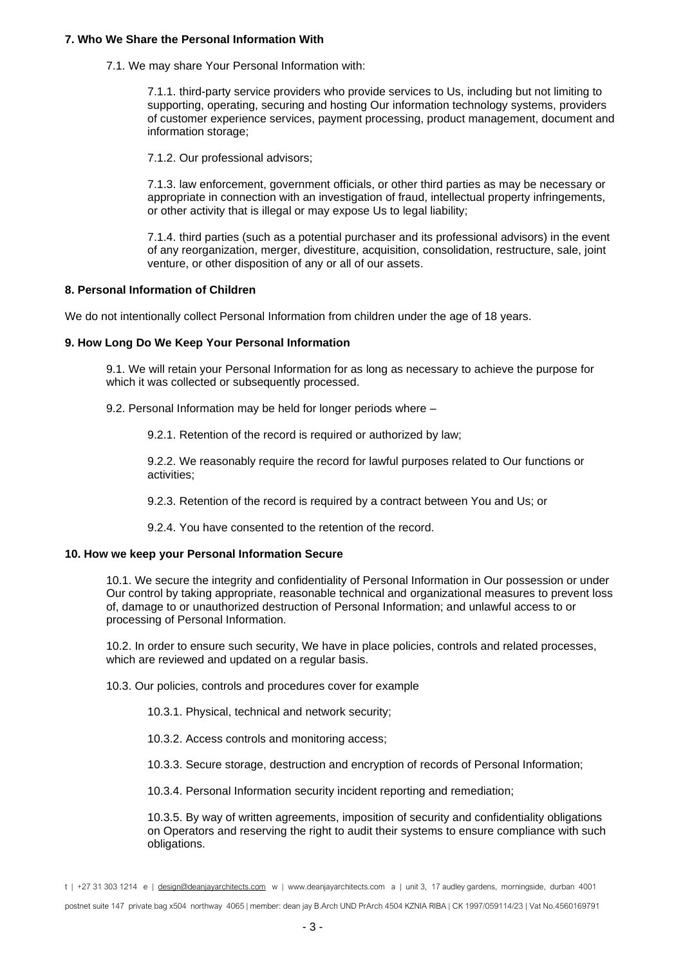#### **7. Who We Share the Personal Information With**

7.1. We may share Your Personal Information with:

7.1.1. third-party service providers who provide services to Us, including but not limiting to supporting, operating, securing and hosting Our information technology systems, providers of customer experience services, payment processing, product management, document and information storage;

7.1.2. Our professional advisors;

7.1.3. law enforcement, government officials, or other third parties as may be necessary or appropriate in connection with an investigation of fraud, intellectual property infringements, or other activity that is illegal or may expose Us to legal liability;

7.1.4. third parties (such as a potential purchaser and its professional advisors) in the event of any reorganization, merger, divestiture, acquisition, consolidation, restructure, sale, joint venture, or other disposition of any or all of our assets.

#### **8. Personal Information of Children**

We do not intentionally collect Personal Information from children under the age of 18 years.

#### **9. How Long Do We Keep Your Personal Information**

9.1. We will retain your Personal Information for as long as necessary to achieve the purpose for which it was collected or subsequently processed.

9.2. Personal Information may be held for longer periods where –

9.2.1. Retention of the record is required or authorized by law;

9.2.2. We reasonably require the record for lawful purposes related to Our functions or activities;

9.2.3. Retention of the record is required by a contract between You and Us; or

9.2.4. You have consented to the retention of the record.

#### **10. How we keep your Personal Information Secure**

10.1. We secure the integrity and confidentiality of Personal Information in Our possession or under Our control by taking appropriate, reasonable technical and organizational measures to prevent loss of, damage to or unauthorized destruction of Personal Information; and unlawful access to or processing of Personal Information.

10.2. In order to ensure such security, We have in place policies, controls and related processes, which are reviewed and updated on a regular basis.

10.3. Our policies, controls and procedures cover for example

10.3.1. Physical, technical and network security;

10.3.2. Access controls and monitoring access;

10.3.3. Secure storage, destruction and encryption of records of Personal Information;

10.3.4. Personal Information security incident reporting and remediation;

10.3.5. By way of written agreements, imposition of security and confidentiality obligations on Operators and reserving the right to audit their systems to ensure compliance with such obligations.

t | +27 31 303 1214 e | [design@deanjayarchitects.com](mailto:design@deanjayarchitects.com) w | www.deanjayarchitects.com a | unit 3, 17 audley gardens, morningside, durban 4001